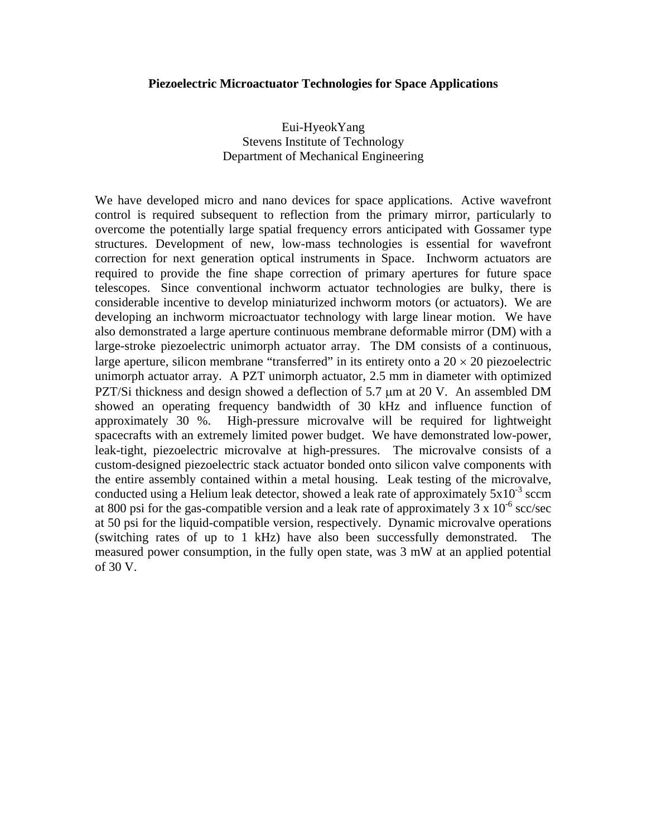## **Piezoelectric Microactuator Technologies for Space Applications**

Eui-HyeokYang Stevens Institute of Technology Department of Mechanical Engineering

We have developed micro and nano devices for space applications. Active wavefront control is required subsequent to reflection from the primary mirror, particularly to overcome the potentially large spatial frequency errors anticipated with Gossamer type structures. Development of new, low-mass technologies is essential for wavefront correction for next generation optical instruments in Space. Inchworm actuators are required to provide the fine shape correction of primary apertures for future space telescopes. Since conventional inchworm actuator technologies are bulky, there is considerable incentive to develop miniaturized inchworm motors (or actuators). We are developing an inchworm microactuator technology with large linear motion. We have also demonstrated a large aperture continuous membrane deformable mirror (DM) with a large-stroke piezoelectric unimorph actuator array. The DM consists of a continuous, large aperture, silicon membrane "transferred" in its entirety onto a  $20 \times 20$  piezoelectric unimorph actuator array. A PZT unimorph actuator, 2.5 mm in diameter with optimized PZT/Si thickness and design showed a deflection of 5.7 μm at 20 V. An assembled DM showed an operating frequency bandwidth of 30 kHz and influence function of approximately 30 %. High-pressure microvalve will be required for lightweight spacecrafts with an extremely limited power budget. We have demonstrated low-power, leak-tight, piezoelectric microvalve at high-pressures. The microvalve consists of a custom-designed piezoelectric stack actuator bonded onto silicon valve components with the entire assembly contained within a metal housing. Leak testing of the microvalve, conducted using a Helium leak detector, showed a leak rate of approximately  $5x10^{-3}$  sccm at 800 psi for the gas-compatible version and a leak rate of approximately  $3 \times 10^{-6}$  scc/sec at 50 psi for the liquid-compatible version, respectively. Dynamic microvalve operations (switching rates of up to 1 kHz) have also been successfully demonstrated. The measured power consumption, in the fully open state, was 3 mW at an applied potential of 30 V.